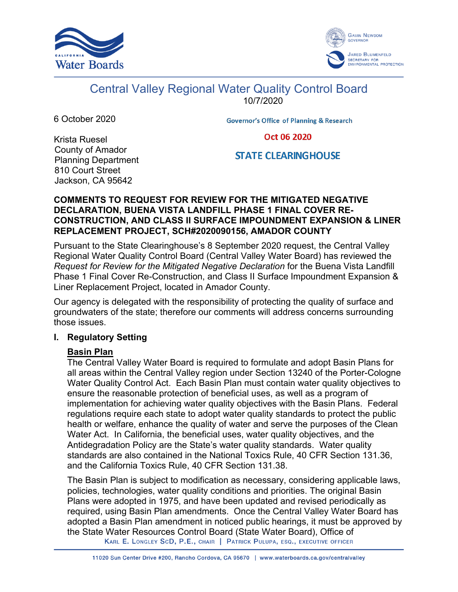



# Central Valley Regional Water Quality Control Board

10/7/2020

6 October 2020

**Governor's Office of Planning & Research** 

Oct 06 2020

# **STATE CLEARINGHOUSE**

Krista Ruesel County of Amador Planning Department 810 Court Street Jackson, CA 95642

## **COMMENTS TO REQUEST FOR REVIEW FOR THE MITIGATED NEGATIVE DECLARATION, BUENA VISTA LANDFILL PHASE 1 FINAL COVER RE-CONSTRUCTION, AND CLASS II SURFACE IMPOUNDMENT EXPANSION & LINER REPLACEMENT PROJECT, SCH#2020090156, AMADOR COUNTY**

Pursuant to the State Clearinghouse's 8 September 2020 request, the Central Valley Regional Water Quality Control Board (Central Valley Water Board) has reviewed the *Request for Review for the Mitigated Negative Declaration* for the Buena Vista Landfill Phase 1 Final Cover Re-Construction, and Class II Surface Impoundment Expansion & Liner Replacement Project, located in Amador County.

Our agency is delegated with the responsibility of protecting the quality of surface and groundwaters of the state; therefore our comments will address concerns surrounding those issues.

## **I. Regulatory Setting**

## **Basin Plan**

The Central Valley Water Board is required to formulate and adopt Basin Plans for all areas within the Central Valley region under Section 13240 of the Porter-Cologne Water Quality Control Act. Each Basin Plan must contain water quality objectives to ensure the reasonable protection of beneficial uses, as well as a program of implementation for achieving water quality objectives with the Basin Plans. Federal regulations require each state to adopt water quality standards to protect the public health or welfare, enhance the quality of water and serve the purposes of the Clean Water Act. In California, the beneficial uses, water quality objectives, and the Antidegradation Policy are the State's water quality standards. Water quality standards are also contained in the National Toxics Rule, 40 CFR Section 131.36, and the California Toxics Rule, 40 CFR Section 131.38.

The Basin Plan is subject to modification as necessary, considering applicable laws, policies, technologies, water quality conditions and priorities. The original Basin Plans were adopted in 1975, and have been updated and revised periodically as required, using Basin Plan amendments. Once the Central Valley Water Board has adopted a Basin Plan amendment in noticed public hearings, it must be approved by the State Water Resources Control Board (State Water Board), Office of KARL E. LONGLEY SCD, P.E., CHAIR | PATRICK PULUPA, ESQ., EXECUTIVE OFFICER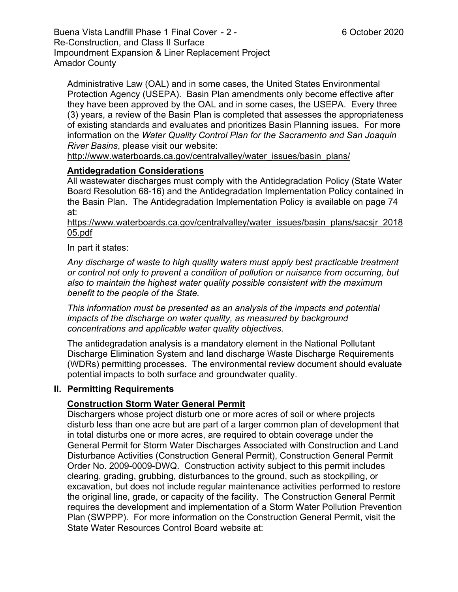Buena Vista Landfill Phase 1 Final Cover - 2 - 6 October 2020 Re-Construction, and Class II Surface Impoundment Expansion & Liner Replacement Project Amador County

Administrative Law (OAL) and in some cases, the United States Environmental Protection Agency (USEPA). Basin Plan amendments only become effective after they have been approved by the OAL and in some cases, the USEPA. Every three (3) years, a review of the Basin Plan is completed that assesses the appropriateness of existing standards and evaluates and prioritizes Basin Planning issues. For more information on the *Water Quality Control Plan for the Sacramento and San Joaquin River Basins*, please visit our website:

[http://www.waterboards.ca.gov/centralvalley/water\\_issues/basin\\_plans/](http://www.waterboards.ca.gov/centralvalley/water_issues/basin_plans/)

## **Antidegradation Considerations**

All wastewater discharges must comply with the Antidegradation Policy (State Water Board Resolution 68-16) and the Antidegradation Implementation Policy contained in the Basin Plan. The Antidegradation Implementation Policy is available on page 74 at:

https://www.waterboards.ca.gov/centralvalley/water\_issues/basin\_plans/sacsjr\_2018 05.pdf

In part it states:

*Any discharge of waste to high quality waters must apply best practicable treatment or control not only to prevent a condition of pollution or nuisance from occurring, but also to maintain the highest water quality possible consistent with the maximum benefit to the people of the State.*

*This information must be presented as an analysis of the impacts and potential impacts of the discharge on water quality, as measured by background concentrations and applicable water quality objectives.*

The antidegradation analysis is a mandatory element in the National Pollutant Discharge Elimination System and land discharge Waste Discharge Requirements (WDRs) permitting processes. The environmental review document should evaluate potential impacts to both surface and groundwater quality.

#### **II. Permitting Requirements**

## **Construction Storm Water General Permit**

Dischargers whose project disturb one or more acres of soil or where projects disturb less than one acre but are part of a larger common plan of development that in total disturbs one or more acres, are required to obtain coverage under the General Permit for Storm Water Discharges Associated with Construction and Land Disturbance Activities (Construction General Permit), Construction General Permit Order No. 2009-0009-DWQ. Construction activity subject to this permit includes clearing, grading, grubbing, disturbances to the ground, such as stockpiling, or excavation, but does not include regular maintenance activities performed to restore the original line, grade, or capacity of the facility. The Construction General Permit requires the development and implementation of a Storm Water Pollution Prevention Plan (SWPPP). For more information on the Construction General Permit, visit the State Water Resources Control Board website at: